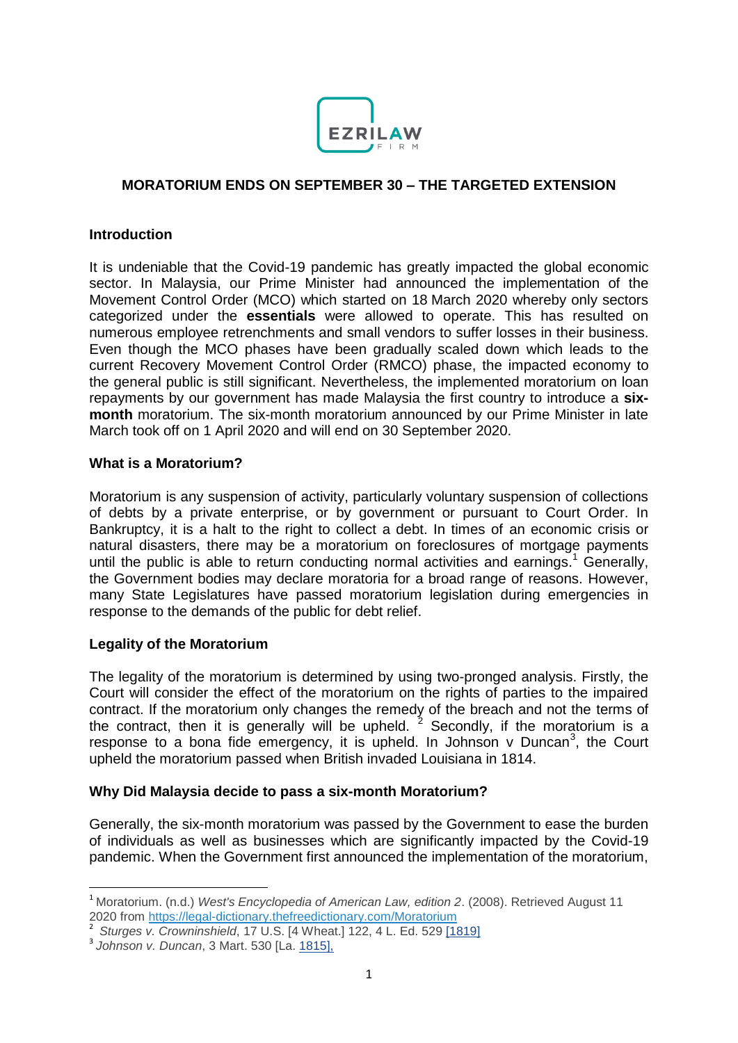

## **MORATORIUM ENDS ON SEPTEMBER 30 – THE TARGETED EXTENSION**

#### **Introduction**

It is undeniable that the Covid-19 pandemic has greatly impacted the global economic sector. In Malaysia, our Prime Minister had announced the implementation of the Movement Control Order (MCO) which started on 18 March 2020 whereby only sectors categorized under the **essentials** were allowed to operate. This has resulted on numerous employee retrenchments and small vendors to suffer losses in their business. Even though the MCO phases have been gradually scaled down which leads to the current Recovery Movement Control Order (RMCO) phase, the impacted economy to the general public is still significant. Nevertheless, the implemented moratorium on loan repayments by our government has made Malaysia the first country to introduce a **sixmonth** moratorium. The six-month moratorium announced by our Prime Minister in late March took off on 1 April 2020 and will end on 30 September 2020.

#### **What is a Moratorium?**

Moratorium is any suspension of activity, particularly voluntary suspension of collections of debts by a private enterprise, or by government or pursuant to Court Order. In Bankruptcy, it is a halt to the right to collect a debt. In times of an economic crisis or natural disasters, there may be a moratorium on foreclosures of mortgage payments until the public is able to return conducting normal activities and earnings.<sup>1</sup> Generally, the Government bodies may declare moratoria for a broad range of reasons. However, many State Legislatures have passed moratorium legislation during emergencies in response to the demands of the public for debt relief.

### **Legality of the Moratorium**

The legality of the moratorium is determined by using two-pronged analysis. Firstly, the Court will consider the effect of the moratorium on the rights of parties to the impaired contract. If the moratorium only changes the remedy of the breach and not the terms of the contract, then it is generally will be upheld.  $2^2$  Secondly, if the moratorium is a response to a bona fide emergency, it is upheld. In Johnson  $v$  Duncan<sup>3</sup>, the Court upheld the moratorium passed when British invaded Louisiana in 1814.

### **Why Did Malaysia decide to pass a six-month Moratorium?**

Generally, the six-month moratorium was passed by the Government to ease the burden of individuals as well as businesses which are significantly impacted by the Covid-19 pandemic. When the Government first announced the implementation of the moratorium,

**.** 

<sup>1</sup> Moratorium. (n.d.) *West's Encyclopedia of American Law, edition 2*. (2008). Retrieved August 11 2020 from <https://legal-dictionary.thefreedictionary.com/Moratorium>

<sup>2</sup> *Sturges v. Crowninshield*, 17 U.S. [4 Wheat.] 122, 4 L. Ed. 529 [1819]

<sup>3</sup> *Johnson v. Duncan*, 3 Mart. 530 [La. 1815],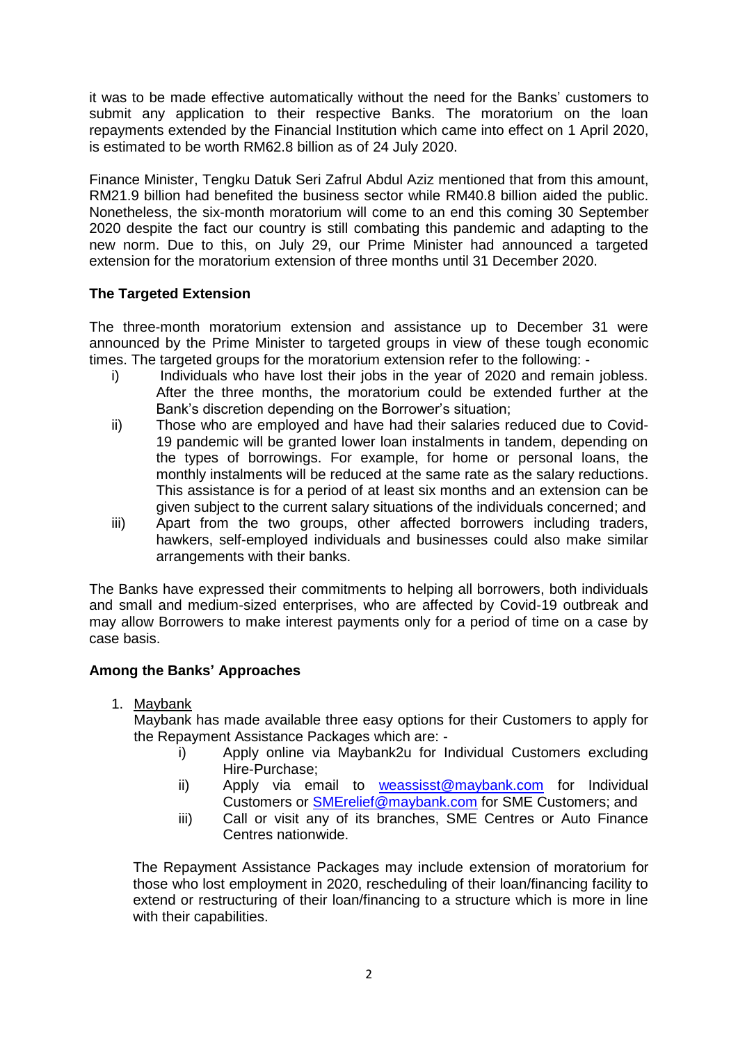it was to be made effective automatically without the need for the Banks' customers to submit any application to their respective Banks. The moratorium on the loan repayments extended by the Financial Institution which came into effect on 1 April 2020, is estimated to be worth RM62.8 billion as of 24 July 2020.

Finance Minister, Tengku Datuk Seri Zafrul Abdul Aziz mentioned that from this amount, RM21.9 billion had benefited the business sector while RM40.8 billion aided the public. Nonetheless, the six-month moratorium will come to an end this coming 30 September 2020 despite the fact our country is still combating this pandemic and adapting to the new norm. Due to this, on July 29, our Prime Minister had announced a targeted extension for the moratorium extension of three months until 31 December 2020.

# **The Targeted Extension**

The three-month moratorium extension and assistance up to December 31 were announced by the Prime Minister to targeted groups in view of these tough economic times. The targeted groups for the moratorium extension refer to the following: -

- i) Individuals who have lost their jobs in the year of 2020 and remain jobless. After the three months, the moratorium could be extended further at the Bank's discretion depending on the Borrower's situation;
- ii) Those who are employed and have had their salaries reduced due to Covid-19 pandemic will be granted lower loan instalments in tandem, depending on the types of borrowings. For example, for home or personal loans, the monthly instalments will be reduced at the same rate as the salary reductions. This assistance is for a period of at least six months and an extension can be given subject to the current salary situations of the individuals concerned; and
- iii) Apart from the two groups, other affected borrowers including traders, hawkers, self-employed individuals and businesses could also make similar arrangements with their banks.

The Banks have expressed their commitments to helping all borrowers, both individuals and small and medium-sized enterprises, who are affected by Covid-19 outbreak and may allow Borrowers to make interest payments only for a period of time on a case by case basis.

# **Among the Banks' Approaches**

1. Maybank

Maybank has made available three easy options for their Customers to apply for the Repayment Assistance Packages which are: -

- i) Apply online via Maybank2u for Individual Customers excluding Hire-Purchase;
- ii) Apply via email to [weassisst@maybank.com](mailto:weassisst@maybank.com) for Individual Customers or [SMErelief@maybank.com](mailto:SMErelief@maybank.com) for SME Customers; and
- iii) Call or visit any of its branches, SME Centres or Auto Finance Centres nationwide.

The Repayment Assistance Packages may include extension of moratorium for those who lost employment in 2020, rescheduling of their loan/financing facility to extend or restructuring of their loan/financing to a structure which is more in line with their capabilities.